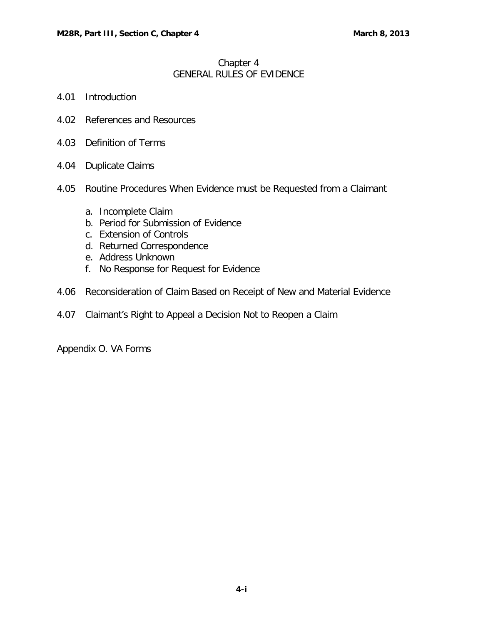## Chapter 4 GENERAL RULES OF EVIDENCE

- 4.01 [Introduction](#page-1-0)
- 4.02 [References and Resources](#page-1-0)
- 4.03 [Definition of Terms](#page-1-0)
- 4.04 [Duplicate Claims](#page-3-0)
- 4.05 [Routine Procedures When Evidence must be Requested from a Claimant](#page-3-0)
	- a. [Incomplete Claim](#page-3-0)
	- b. [Period for Submission of Evidence](#page-4-0)
	- c. Extension of Controls
	- d. Returned Correspondence
	- e. Address Unknown
	- f. [No Response for Request for Evidence](#page-5-0)
- 4.06 [Reconsideration of Claim Based on Receipt of New and Material Evidence](#page-5-0)
- 4.07 [Claimant's Right to Appeal a Decision Not to Reopen a Claim](#page-5-0)

Appendix O. VA Forms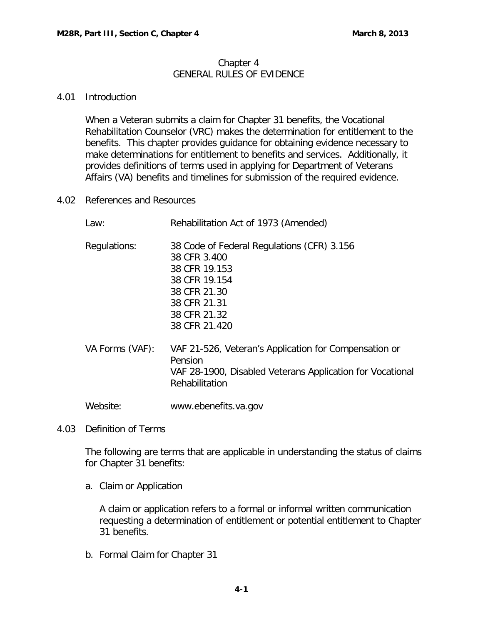## Chapter 4 GENERAL RULES OF EVIDENCE

## <span id="page-1-0"></span>4.01 Introduction

When a Veteran submits a claim for Chapter 31 benefits, the Vocational Rehabilitation Counselor (VRC) makes the determination for entitlement to the benefits. This chapter provides guidance for obtaining evidence necessary to make determinations for entitlement to benefits and services. Additionally, it provides definitions of terms used in applying for Department of Veterans Affairs (VA) benefits and timelines for submission of the required evidence.

4.02 References and Resources

| Law:            | Rehabilitation Act of 1973 (Amended)                                                                                                                          |
|-----------------|---------------------------------------------------------------------------------------------------------------------------------------------------------------|
| Regulations:    | 38 Code of Federal Regulations (CFR) 3.156<br>38 CFR 3.400<br>38 CFR 19.153<br>38 CFR 19.154<br>38 CFR 21.30<br>38 CFR 21.31<br>38 CFR 21.32<br>38 CFR 21.420 |
| VA Forms (VAF): | VAF 21-526, Veteran's Application for Compensation or<br>Pension<br>VAF 28-1900, Disabled Veterans Application for Vocational<br>Rehabilitation               |

Website: [www.ebenefits.va.gov](http://www.ebenefits.va.gov/)

4.03 Definition of Terms

The following are terms that are applicable in understanding the status of claims for Chapter 31 benefits:

a. Claim or Application

A claim or application refers to a formal or informal written communication requesting a determination of entitlement or potential entitlement to Chapter 31 benefits.

b. Formal Claim for Chapter 31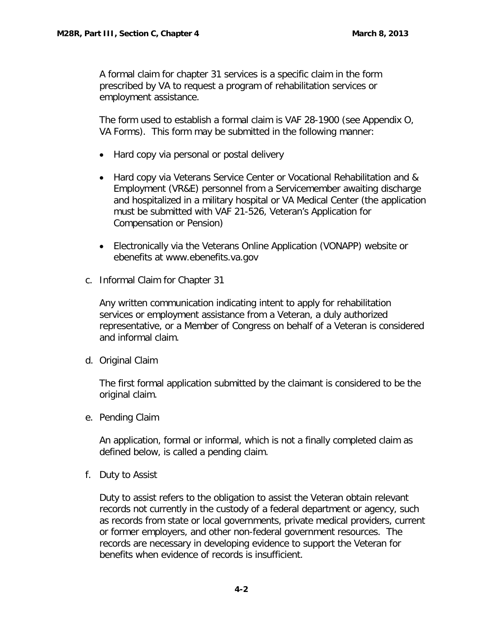A formal claim for chapter 31 services is a specific claim in the form prescribed by VA to request a program of rehabilitation services or employment assistance.

The form used to establish a formal claim is VAF 28-1900 (see Appendix O, VA Forms). This form may be submitted in the following manner:

- Hard copy via personal or postal delivery
- Hard copy via Veterans Service Center or Vocational Rehabilitation and & Employment (VR&E) personnel from a Servicemember awaiting discharge and hospitalized in a military hospital or VA Medical Center (the application must be submitted with VAF 21-526, Veteran's Application for Compensation or Pension)
- Electronically via the Veterans Online Application (VONAPP) website or ebenefits at [www.ebenefits.va.gov](http://www.ebenefits.va.gov/)
- c. Informal Claim for Chapter 31

Any written communication indicating intent to apply for rehabilitation services or employment assistance from a Veteran, a duly authorized representative, or a Member of Congress on behalf of a Veteran is considered and informal claim.

d. Original Claim

The first formal application submitted by the claimant is considered to be the original claim.

e. Pending Claim

An application, formal or informal, which is not a finally completed claim as defined below, is called a pending claim.

f. Duty to Assist

Duty to assist refers to the obligation to assist the Veteran obtain relevant records not currently in the custody of a federal department or agency, such as records from state or local governments, private medical providers, current or former employers, and other non-federal government resources. The records are necessary in developing evidence to support the Veteran for benefits when evidence of records is insufficient.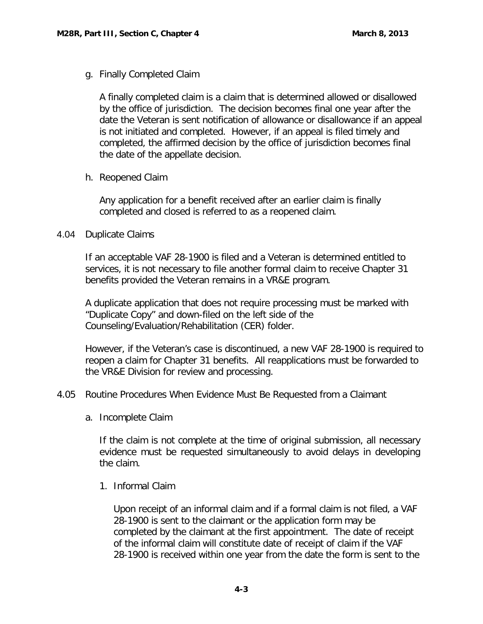<span id="page-3-0"></span>g. Finally Completed Claim

A finally completed claim is a claim that is determined allowed or disallowed by the office of jurisdiction. The decision becomes final one year after the date the Veteran is sent notification of allowance or disallowance if an appeal is not initiated and completed. However, if an appeal is filed timely and completed, the affirmed decision by the office of jurisdiction becomes final the date of the appellate decision.

h. Reopened Claim

Any application for a benefit received after an earlier claim is finally completed and closed is referred to as a reopened claim.

## 4.04 Duplicate Claims

If an acceptable VAF 28-1900 is filed and a Veteran is determined entitled to services, it is not necessary to file another formal claim to receive Chapter 31 benefits provided the Veteran remains in a VR&E program.

A duplicate application that does not require processing must be marked with "Duplicate Copy" and down-filed on the left side of the Counseling/Evaluation/Rehabilitation (CER) folder.

However, if the Veteran's case is discontinued, a new VAF 28-1900 is required to reopen a claim for Chapter 31 benefits. All reapplications must be forwarded to the VR&E Division for review and processing.

- 4.05 Routine Procedures When Evidence Must Be Requested from a Claimant
	- a. Incomplete Claim

If the claim is not complete at the time of original submission, all necessary evidence must be requested simultaneously to avoid delays in developing the claim.

1. Informal Claim

Upon receipt of an informal claim and if a formal claim is not filed, a VAF 28-1900 is sent to the claimant or the application form may be completed by the claimant at the first appointment. The date of receipt of the informal claim will constitute date of receipt of claim if the VAF 28-1900 is received within one year from the date the form is sent to the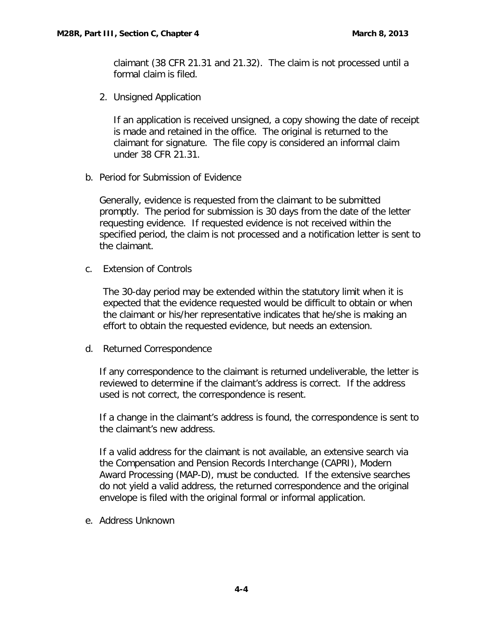<span id="page-4-0"></span>claimant (38 CFR 21.31 and 21.32). The claim is not processed until a formal claim is filed.

2. Unsigned Application

If an application is received unsigned, a copy showing the date of receipt is made and retained in the office. The original is returned to the claimant for signature. The file copy is considered an informal claim under 38 CFR 21.31.

b. Period for Submission of Evidence

Generally, evidence is requested from the claimant to be submitted promptly. The period for submission is 30 days from the date of the letter requesting evidence. If requested evidence is not received within the specified period, the claim is not processed and a notification letter is sent to the claimant.

c. Extension of Controls

The 30-day period may be extended within the statutory limit when it is expected that the evidence requested would be difficult to obtain or when the claimant or his/her representative indicates that he/she is making an effort to obtain the requested evidence, but needs an extension.

d. Returned Correspondence

If any correspondence to the claimant is returned undeliverable, the letter is reviewed to determine if the claimant's address is correct. If the address used is not correct, the correspondence is resent.

If a change in the claimant's address is found, the correspondence is sent to the claimant's new address.

If a valid address for the claimant is not available, an extensive search via the Compensation and Pension Records Interchange (CAPRI), Modern Award Processing (MAP-D), must be conducted. If the extensive searches do not yield a valid address, the returned correspondence and the original envelope is filed with the original formal or informal application.

e. Address Unknown